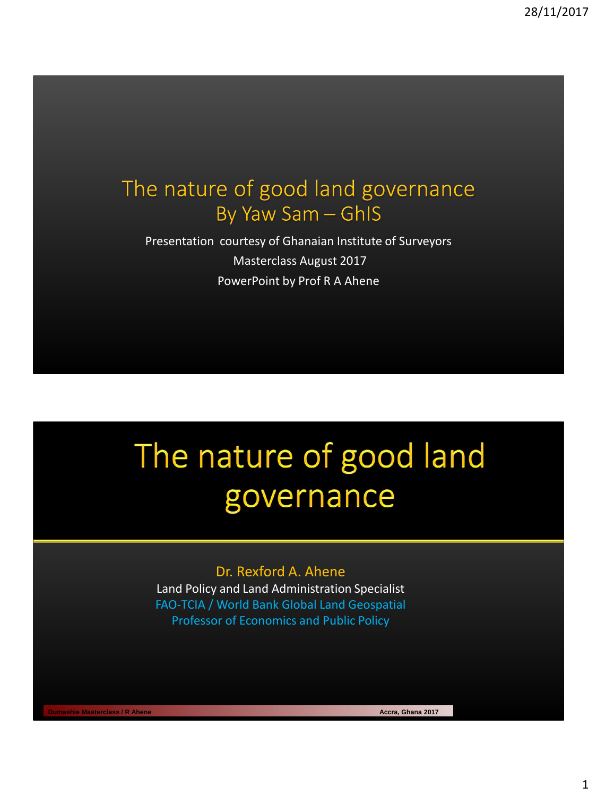## The nature of good land governance By Yaw Sam - GhIS

Presentation courtesy of Ghanaian Institute of Surveyors Masterclass August 2017 PowerPoint by Prof R A Ahene

## The nature of good land governance

#### Dr. Rexford A. Ahene

Land Policy and Land Administration Specialist FAO-TCIA / World Bank Global Land Geospatial Professor of Economics and Public Policy

**Dumashie Masterclass / R Ahene Accra, Ghana 2017 Accra, Ghana 2017**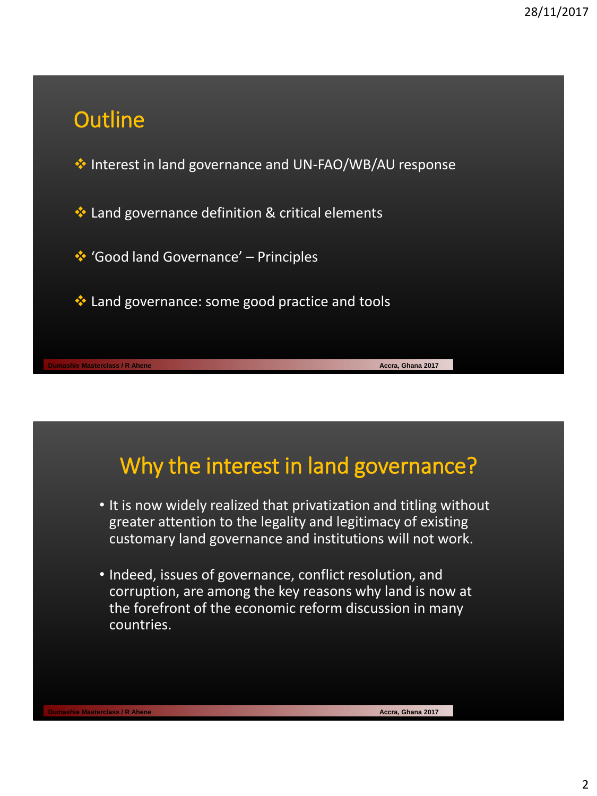## **Outline**

**EXA Interest in land governance and UN-FAO/WB/AU response** 

Land governance definition & critical elements

'Good land Governance' – Principles

◆ Land governance: some good practice and tools

## Why the interest in land governance?

- It is now widely realized that privatization and titling without greater attention to the legality and legitimacy of existing customary land governance and institutions will not work.
- Indeed, issues of governance, conflict resolution, and corruption, are among the key reasons why land is now at the forefront of the economic reform discussion in many countries.

**Dumashie Masterclass / R Ahene Accra, Ghana 2017**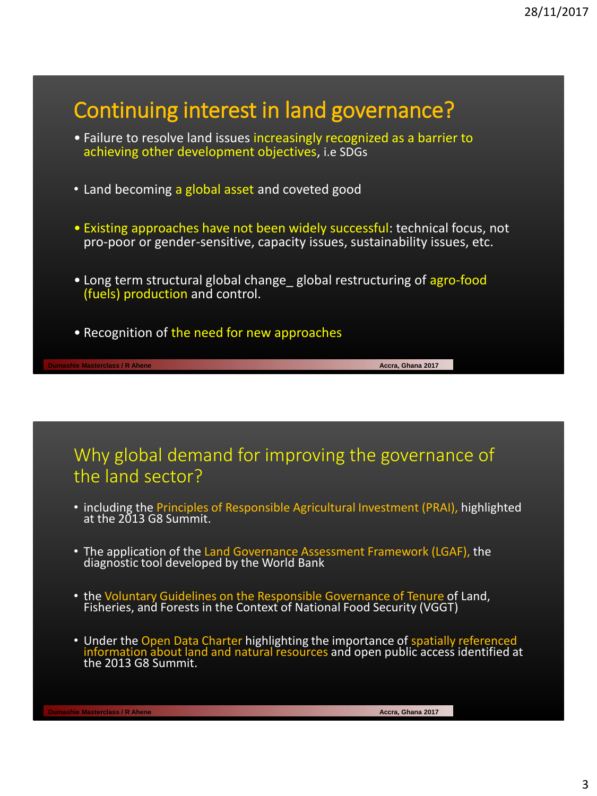

## Why global demand for improving the governance of the land sector?

- including the Principles of Responsible Agricultural Investment (PRAI), highlighted at the 2013 G8 Summit.
- The application of the Land Governance Assessment Framework (LGAF), the diagnostic tool developed by the World Bank
- the Voluntary Guidelines on the Responsible Governance of Tenure of Land, Fisheries, and Forests in the Context of National Food Security (VGGT)
- Under the Open Data Charter highlighting the importance of spatially referenced information about land and natural resources and open public access identified at the 2013 G8 Summit.

**Dumashie Masterclass / R Ahene Accra, Ghana 2017**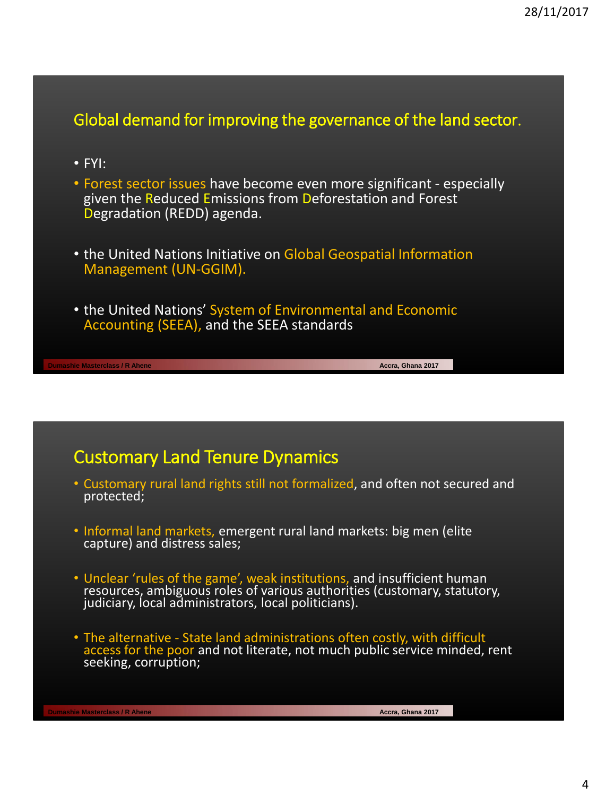## Global demand for improving the governance of the land sector.

- FYI:
- Forest sector issues have become even more significant especially given the Reduced Emissions from Deforestation and Forest Degradation (REDD) agenda.
- the United Nations Initiative on Global Geospatial Information Management (UN-GGIM).
- the United Nations' System of Environmental and Economic Accounting (SEEA), and the SEEA standards

**Dumashie Masterclass / R Ahene Accra, Ghana 2017 Accra, Ghana 2017 Accra, Ghana 2017** 

## Customary Land Tenure Dynamics

- Customary rural land rights still not formalized, and often not secured and protected;
- Informal land markets, emergent rural land markets: big men (elite capture) and distress sales;
- Unclear 'rules of the game', weak institutions, and insufficient human resources, ambiguous roles of various authorities (customary, statutory, judiciary, local administrators, local politicians).
- The alternative State land administrations often costly, with difficult access for the poor and not literate, not much public service minded, rent seeking, corruption;

**Dumashie Masterclass / R Ahene Accra, Ghana 2017**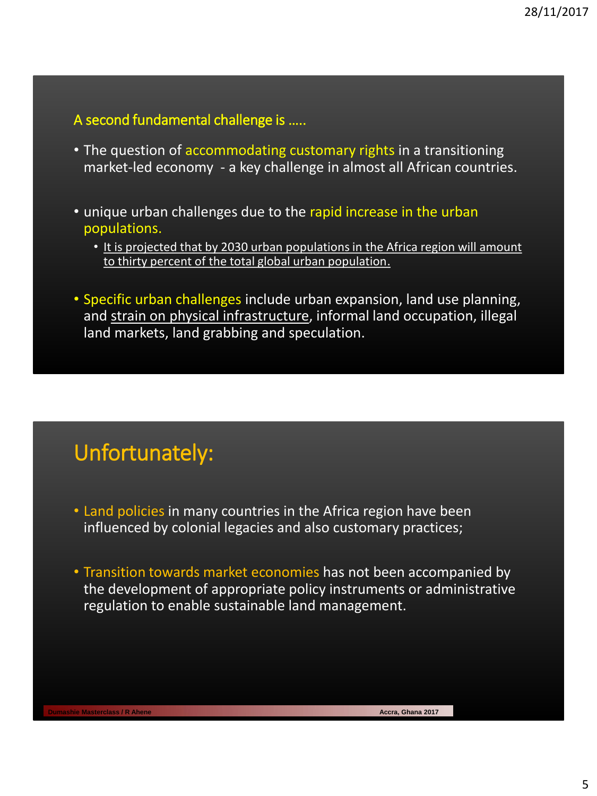## A second fundamental challenge is …..

- The question of accommodating customary rights in a transitioning market-led economy - a key challenge in almost all African countries.
- unique urban challenges due to the rapid increase in the urban populations.
	- It is projected that by 2030 urban populations in the Africa region will amount to thirty percent of the total global urban population.
- Specific urban challenges include urban expansion, land use planning, and strain on physical infrastructure, informal land occupation, illegal land markets, land grabbing and speculation.

## Unfortunately:

- Land policies in many countries in the Africa region have been influenced by colonial legacies and also customary practices;
- Transition towards market economies has not been accompanied by the development of appropriate policy instruments or administrative regulation to enable sustainable land management.

**Dumashie Masterclass / R Ahene Accra, Ghana 2017 Accra, Ghana 2017**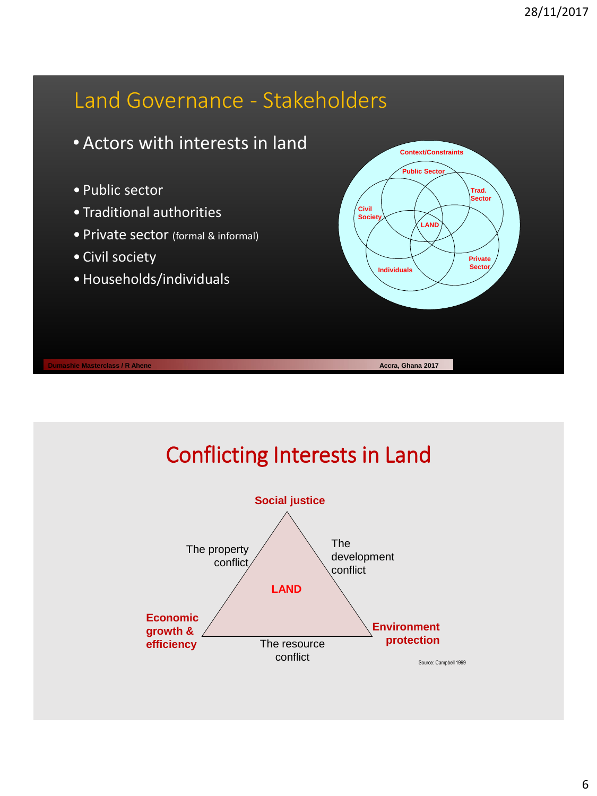

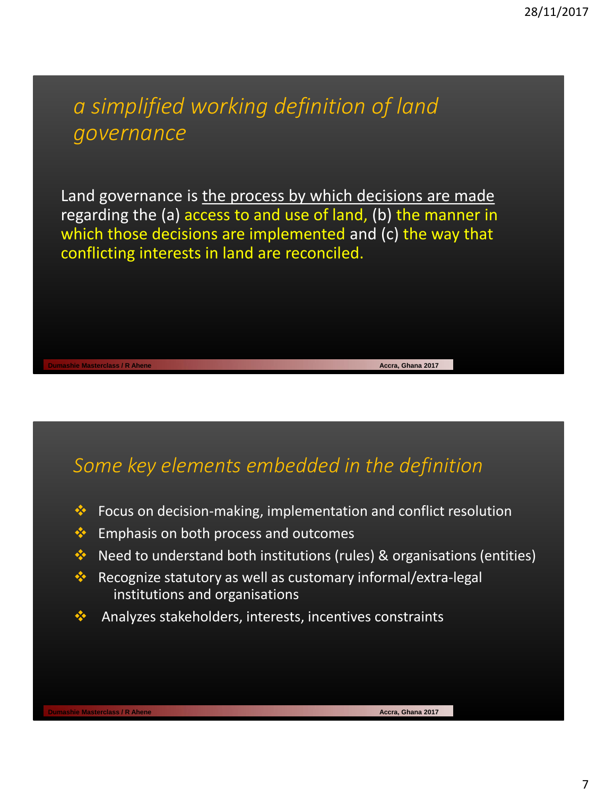## *a simplified working definition of land governance*

Land governance is the process by which decisions are made regarding the (a) access to and use of land, (b) the manner in which those decisions are implemented and (c) the way that conflicting interests in land are reconciled.

## *Some key elements embedded in the definition*

- $\bullet\bullet$  Focus on decision-making, implementation and conflict resolution
- **Emphasis on both process and outcomes**
- $\cdot$  Need to understand both institutions (rules) & organisations (entities)
- Recognize statutory as well as customary informal/extra-legal institutions and organisations
- Analyzes stakeholders, interests, incentives constraints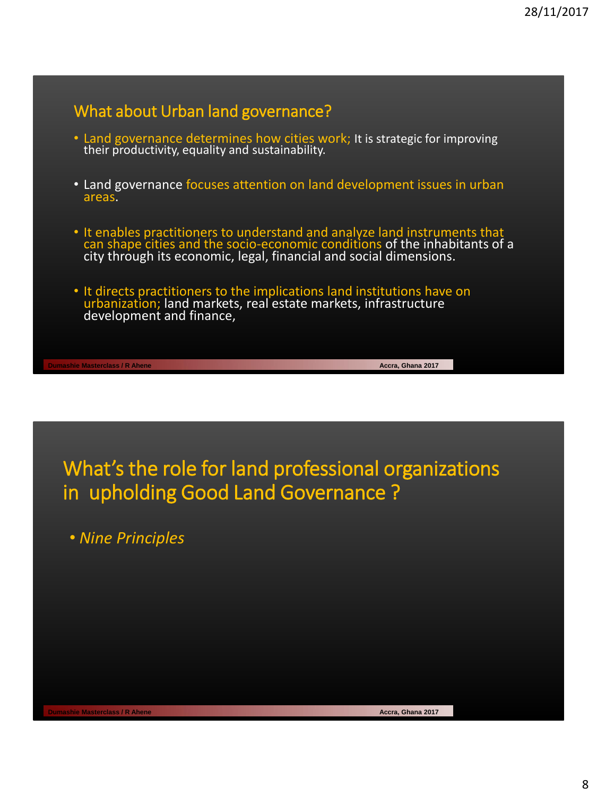## What about Urban land governance?

- Land governance determines how cities work; It is strategic for improving their productivity, equality and sustainability.
- Land governance focuses attention on land development issues in urban areas.
- It enables practitioners to understand and analyze land instruments that can shape cities and the socio-economic conditions of the inhabitants of a city through its economic, legal, financial and social dimensions.
- It directs practitioners to the implications land institutions have on urbanization; land markets, real estate markets, infrastructure development and finance,

**Dumashie Masterclass / R Ahene Accra, Ghana 2017 Accra, Ghana 2017 Accra, Ghana 2017** 

What's the role for land professional organizations in upholding Good Land Governance ?

• *Nine Principles*

**Dumashie Masterclass / R Ahene Accra, Ghana 2017**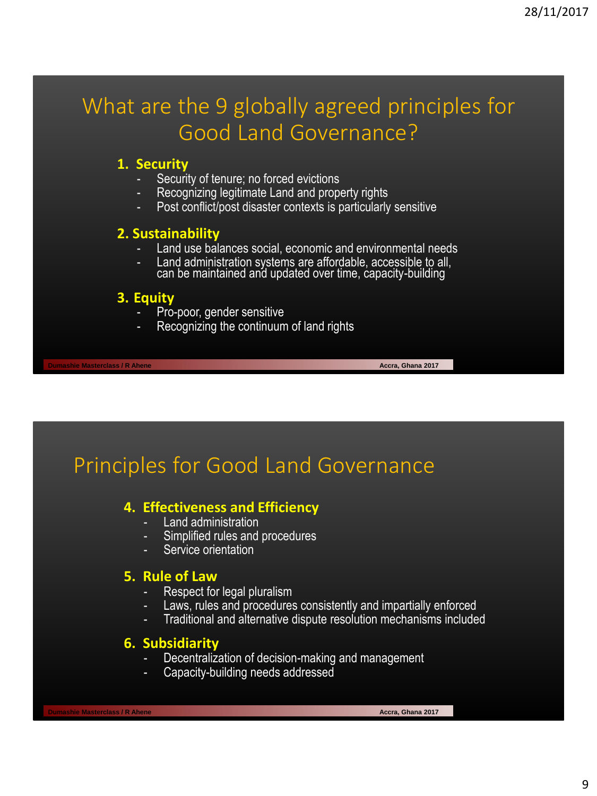## What are the 9 globally agreed principles for Good Land Governance?

#### **1. Security**

- Security of tenure; no forced evictions
- Recognizing legitimate Land and property rights
- Post conflict/post disaster contexts is particularly sensitive

#### **2. Sustainability**

- Land use balances social, economic and environmental needs
- Land administration systems are affordable, accessible to all, can be maintained and updated over time, capacity-building

#### **3. Equity**

- Pro-poor, gender sensitive
- Recognizing the continuum of land rights

## Principles for Good Land Governance

## **4. Effectiveness and Efficiency**

- Land administration
- Simplified rules and procedures
- Service orientation

#### **5. Rule of Law**

- Respect for legal pluralism
- Laws, rules and procedures consistently and impartially enforced
- Traditional and alternative dispute resolution mechanisms included

#### **6. Subsidiarity**

- Decentralization of decision-making and management
- Capacity-building needs addressed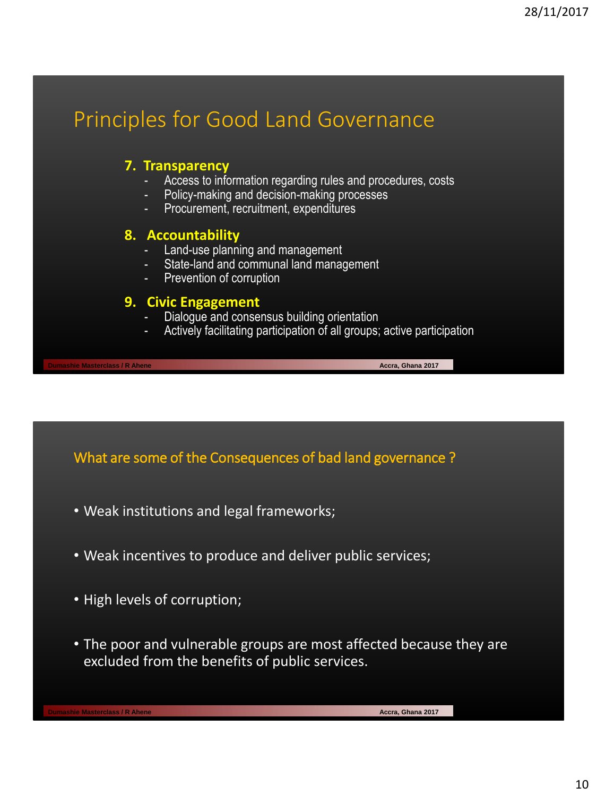## Principles for Good Land Governance

#### **7. Transparency**

- Access to information regarding rules and procedures, costs
- Policy-making and decision-making processes
- Procurement, recruitment, expenditures

#### **8. Accountability**

- Land-use planning and management
- State-land and communal land management
- Prevention of corruption

#### **9. Civic Engagement**

- Dialogue and consensus building orientation
- Actively facilitating participation of all groups; active participation

What are some of the Consequences of bad land governance ?

- Weak institutions and legal frameworks;
- Weak incentives to produce and deliver public services;
- High levels of corruption;
- The poor and vulnerable groups are most affected because they are excluded from the benefits of public services.

**Dumashie Masterclass / R Ahene Accra, Ghana 2017 Accra, Ghana 2017 Accra, Ghana 2017**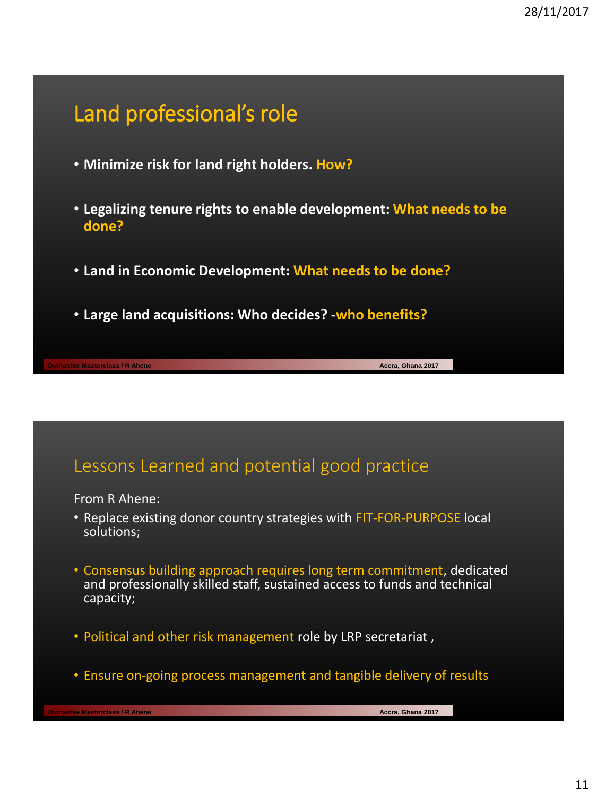## Land professional's role

- **Minimize risk for land right holders. How?**
- **Legalizing tenure rights to enable development: What needs to be done?**
- **Land in Economic Development: What needs to be done?**
- **Large land acquisitions: Who decides? -who benefits?**

## Lessons Learned and potential good practice

From R Ahene:

- Replace existing donor country strategies with FIT-FOR-PURPOSE local solutions;
- Consensus building approach requires long term commitment, dedicated and professionally skilled staff, sustained access to funds and technical capacity;
- Political and other risk management role by LRP secretariat ,
- Ensure on-going process management and tangible delivery of results

**Dumashie Masterclass / R Ahene Accra, Ghana 2017 Accra, Ghana 2017**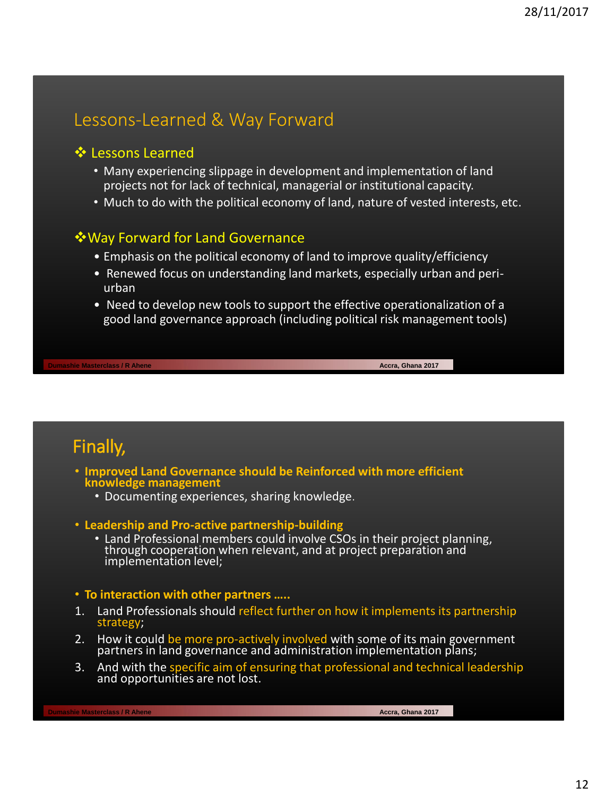## Lessons-Learned & Way Forward

#### **❖** Lessons Learned

- Many experiencing slippage in development and implementation of land projects not for lack of technical, managerial or institutional capacity.
- Much to do with the political economy of land, nature of vested interests, etc.

### Way Forward for Land Governance

- Emphasis on the political economy of land to improve quality/efficiency
- Renewed focus on understanding land markets, especially urban and periurban
- Need to develop new tools to support the effective operationalization of a good land governance approach (including political risk management tools)

**Dumashie Masterclass / R Ahene Accra, Ghana 2017 Accra, Ghana 2017 Accra, Ghana 2017** 

Finally,

- **Improved Land Governance should be Reinforced with more efficient knowledge management**
	- Documenting experiences, sharing knowledge.
- **Leadership and Pro-active partnership-building**
	- Land Professional members could involve CSOs in their project planning, through cooperation when relevant, and at project preparation and implementation level;

#### • **To interaction with other partners …..**

- 1. Land Professionals should reflect further on how it implements its partnership strategy;
- 2. How it could be more pro-actively involved with some of its main government partners in land governance and administration implementation plans;
- 3. And with the specific aim of ensuring that professional and technical leadership and opportunities are not lost.

**Dumashie Masterclass / R Ahene Accra, Ghana 2017 Accra, Ghana 2017**